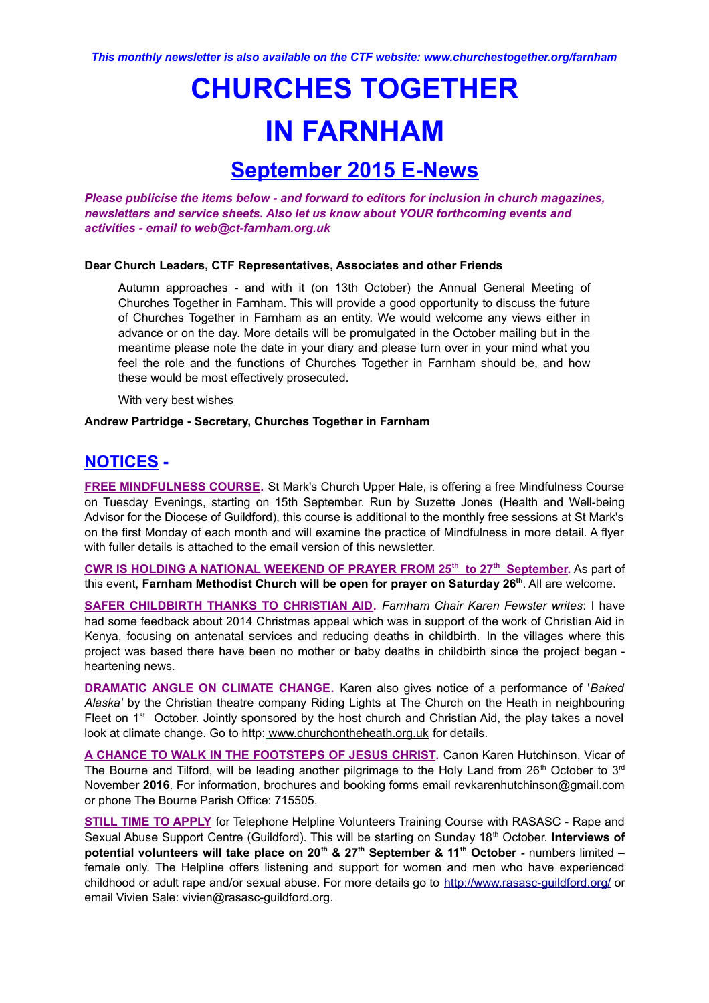# **CHURCHES TOGETHER IN FARNHAM**

## **September 2015 E-News**

*Please publicise the items below - and forward to editors for inclusion in church magazines, newsletters and service sheets. Also let us know about YOUR forthcoming events and activities - email to web@ct-farnham.org.uk*

#### **Dear Church Leaders, CTF Representatives, Associates and other Friends**

Autumn approaches - and with it (on 13th October) the Annual General Meeting of Churches Together in Farnham. This will provide a good opportunity to discuss the future of Churches Together in Farnham as an entity. We would welcome any views either in advance or on the day. More details will be promulgated in the October mailing but in the meantime please note the date in your diary and please turn over in your mind what you feel the role and the functions of Churches Together in Farnham should be, and how these would be most effectively prosecuted.

With very best wishes

#### **Andrew Partridge - Secretary, Churches Together in Farnham**

### **NOTICES -**

**FREE MINDFULNESS COURSE.** St Mark's Church Upper Hale, is offering a free Mindfulness Course on Tuesday Evenings, starting on 15th September. Run by Suzette Jones (Health and Well-being Advisor for the Diocese of Guildford), this course is additional to the monthly free sessions at St Mark's on the first Monday of each month and will examine the practice of Mindfulness in more detail. A flyer with fuller details is attached to the email version of this newsletter.

 **CWR IS HOLDING A NATIONAL WEEKEND OF PRAYER FROM 25th to 27th September.** As part of this event, **Farnham Methodist Church will be open for prayer on Saturday 26th** . All are welcome.

**SAFER CHILDBIRTH THANKS TO CHRISTIAN AID.** *Farnham Chair Karen Fewster writes*: I have had some feedback about 2014 Christmas appeal which was in support of the work of Christian Aid in Kenya, focusing on antenatal services and reducing deaths in childbirth. In the villages where this project was based there have been no mother or baby deaths in childbirth since the project began heartening news.

**DRAMATIC ANGLE ON CLIMATE CHANGE.** Karen also gives notice of a performance of '*Baked Alaska'* by the Christian theatre company Riding Lights at The Church on the Heath in neighbouring Fleet on  $1<sup>st</sup>$  October. Jointly sponsored by the host church and Christian Aid, the play takes a novel look at climate change. Go to http: www.churchontheheath.org.uk for details.

**A CHANCE TO WALK IN THE FOOTSTEPS OF JESUS CHRIST.** Canon Karen Hutchinson, Vicar of The Bourne and Tilford, will be leading another pilgrimage to the Holy Land from 26<sup>th</sup> October to 3<sup>rd</sup> November **2016**. For information, brochures and booking forms email revkarenhutchinson@gmail.com or phone The Bourne Parish Office: 715505.

**STILL TIME TO APPLY** for Telephone Helpline Volunteers Training Course with RASASC - Rape and Sexual Abuse Support Centre (Guildford). This will be starting on Sunday 18th October. **Interviews of potential volunteers will take place on 20th & 27th September & 11th October -** numbers limited – female only. The Helpline offers listening and support for women and men who have experienced childhood or adult rape and/or sexual abuse. For more details go to <http://www.rasasc-guildford.org/>or email Vivien Sale: vivien@rasasc-guildford.org.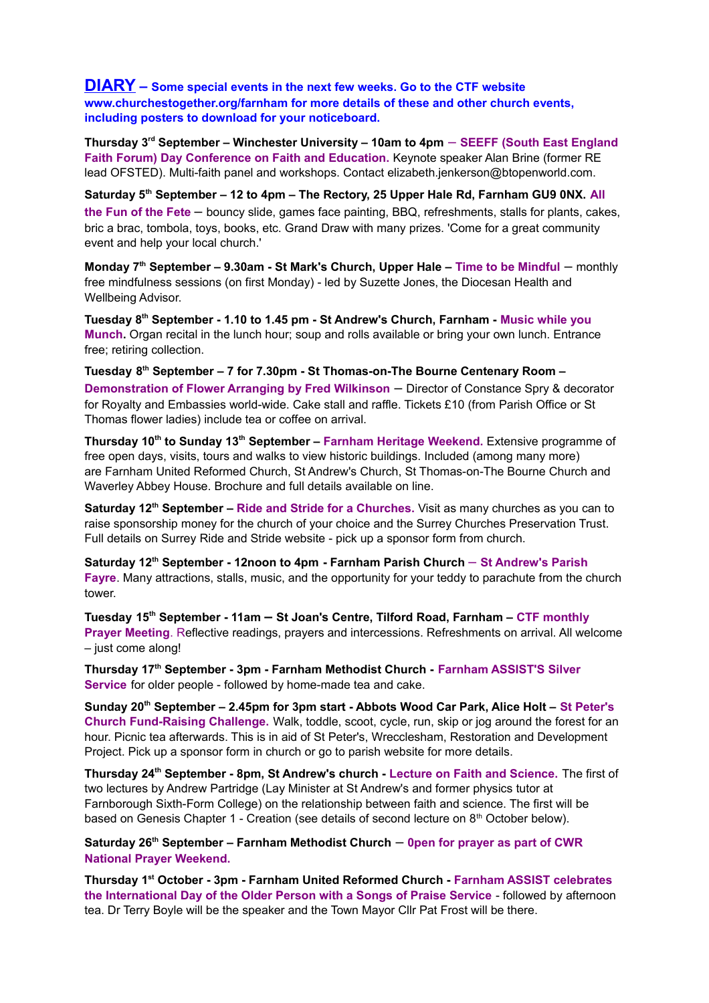**DIARY – Some special events in the next few weeks. Go to the CTF website www.churchestogether.org/farnham for more details of these and other church events, including posters to download for your noticeboard.**

**Thursday 3rd September – Winchester University – 10am to 4pm** *–* **SEEFF (South East England Faith Forum) Day Conference on Faith and Education.** Keynote speaker Alan Brine (former RE lead OFSTED). Multi-faith panel and workshops. Contact elizabeth.jenkerson@btopenworld.com.

**Saturday 5th September – 12 to 4pm – The Rectory, 25 Upper Hale Rd, Farnham GU9 0NX. All the Fun of the Fete** *–* bouncy slide, games face painting, BBQ, refreshments, stalls for plants, cakes, bric a brac, tombola, toys, books, etc. Grand Draw with many prizes. 'Come for a great community event and help your local church.'

**Monday 7th September – 9.30am - St Mark's Church, Upper Hale – Time to be Mindful** *–* monthly free mindfulness sessions (on first Monday) - led by Suzette Jones, the Diocesan Health and Wellbeing Advisor.

**Tuesday 8th September - 1.10 to 1.45 pm - St Andrew's Church, Farnham - Music while you Munch.** Organ recital in the lunch hour; soup and rolls available or bring your own lunch. Entrance free; retiring collection.

**Tuesday 8 th September – 7 for 7.30pm - St Thomas-on-The Bourne Centenary Room – Demonstration of Flower Arranging by Fred Wilkinson** *–* Director of Constance Spry & decorator for Royalty and Embassies world-wide. Cake stall and raffle. Tickets £10 (from Parish Office or St Thomas flower ladies) include tea or coffee on arrival.

**Thursday 10th to Sunday 13th September – Farnham Heritage Weekend.** Extensive programme of free open days, visits, tours and walks to view historic buildings. Included (among many more) are Farnham United Reformed Church, St Andrew's Church, St Thomas-on-The Bourne Church and Waverley Abbey House. Brochure and full details available on line.

**Saturday 12th September – Ride and Stride for a Churches.** Visit as many churches as you can to raise sponsorship money for the church of your choice and the Surrey Churches Preservation Trust. Full details on Surrey Ride and Stride website - pick up a sponsor form from church.

**Saturday 12th September - 12noon to 4pm - Farnham Parish Church** – **St Andrew's Parish Fayre**. Many attractions, stalls, music, and the opportunity for your teddy to parachute from the church tower.

**Tuesday 15th September - 11am – St Joan's Centre, Tilford Road, Farnham – CTF monthly Prayer Meeting**. Reflective readings, prayers and intercessions. Refreshments on arrival. All welcome – just come along!

**Thursday 17th September - 3pm - Farnham Methodist Church - Farnham ASSIST'S Silver Service** for older people - followed by home-made tea and cake.

**Sunday 20th September – 2.45pm for 3pm start - Abbots Wood Car Park, Alice Holt – St Peter's Church Fund-Raising Challenge.** Walk, toddle, scoot, cycle, run, skip or jog around the forest for an hour. Picnic tea afterwards. This is in aid of St Peter's, Wrecclesham, Restoration and Development Project. Pick up a sponsor form in church or go to parish website for more details.

**Thursday 24th September - 8pm, St Andrew's church - Lecture on Faith and Science.** The first of two lectures by Andrew Partridge (Lay Minister at St Andrew's and former physics tutor at Farnborough Sixth-Form College) on the relationship between faith and science. The first will be based on Genesis Chapter 1 - Creation (see details of second lecture on 8<sup>th</sup> October below).

**Saturday 26th September – Farnham Methodist Church** *–* **0pen for prayer as part of CWR National Prayer Weekend.**

**Thursday 1st October - 3pm - Farnham United Reformed Church - Farnham ASSIST celebrates the International Day of the Older Person with a Songs of Praise Service** - followed by afternoon tea. Dr Terry Boyle will be the speaker and the Town Mayor Cllr Pat Frost will be there.